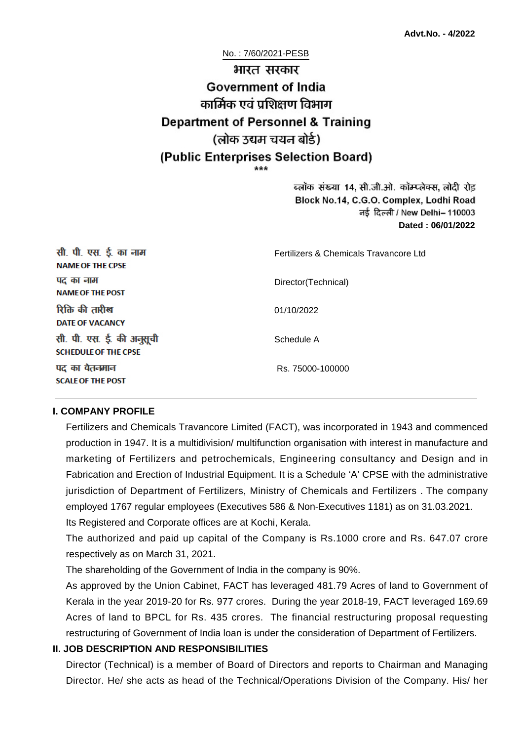No. : 7/60/2021-PESB

# भारत सरकार **Government of India** कार्मिक एवं पशिक्षण विभाग **Department of Personnel & Training** (लोक उद्यम चयन बोर्ड) (Public Enterprises Selection Board)

ब्लॉक संख्या 14, सी.जी.ओ. कॉम्प्लेक्स, लोदी रोड Block No.14, C.G.O. Complex, Lodhi Road ਰई दिल्ली / New Delhi– 110003 **Dated : 06/01/2022**

| सी. पी. एस. ई. का नाम<br><b>NAME OF THE CPSE</b>         | Fertilizers & Chemicals Travancore Ltd |
|----------------------------------------------------------|----------------------------------------|
| पद का नाम<br><b>NAME OF THE POST</b>                     | Director(Technical)                    |
| रिक्ति की तारीख<br><b>DATE OF VACANCY</b>                | 01/10/2022                             |
| सी. पी. एस. ई. की अनुसूची<br><b>SCHEDULE OF THE CPSE</b> | Schedule A                             |
| पद का वेतनमान<br><b>SCALE OF THE POST</b>                | Rs. 75000-100000                       |

#### **I. COMPANY PROFILE**

Fertilizers and Chemicals Travancore Limited (FACT), was incorporated in 1943 and commenced production in 1947. It is a multidivision/ multifunction organisation with interest in manufacture and marketing of Fertilizers and petrochemicals, Engineering consultancy and Design and in Fabrication and Erection of Industrial Equipment. It is a Schedule 'A' CPSE with the administrative jurisdiction of Department of Fertilizers, Ministry of Chemicals and Fertilizers . The company employed 1767 regular employees (Executives 586 & Non-Executives 1181) as on 31.03.2021. Its Registered and Corporate offices are at Kochi, Kerala.

The authorized and paid up capital of the Company is Rs.1000 crore and Rs. 647.07 crore

respectively as on March 31, 2021.

The shareholding of the Government of India in the company is 90%.

As approved by the Union Cabinet, FACT has leveraged 481.79 Acres of land to Government of Kerala in the year 2019-20 for Rs. 977 crores. During the year 2018-19, FACT leveraged 169.69 Acres of land to BPCL for Rs. 435 crores. The financial restructuring proposal requesting restructuring of Government of India loan is under the consideration of Department of Fertilizers.

## **II. JOB DESCRIPTION AND RESPONSIBILITIES**

Director (Technical) is a member of Board of Directors and reports to Chairman and Managing Director. He/ she acts as head of the Technical/Operations Division of the Company. His/ her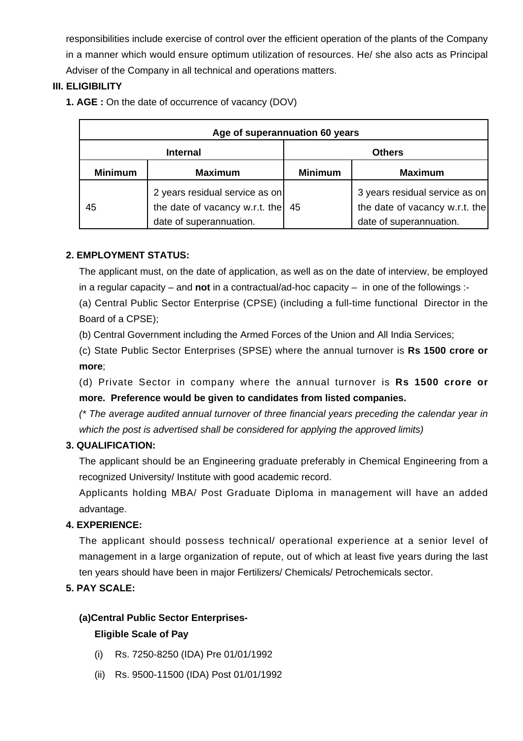responsibilities include exercise of control over the efficient operation of the plants of the Company in a manner which would ensure optimum utilization of resources. He/ she also acts as Principal Adviser of the Company in all technical and operations matters.

# **III. ELIGIBILITY**

**1. AGE :** On the date of occurrence of vacancy (DOV)

| Age of superannuation 60 years |                                                                                             |                |                                                                                             |  |
|--------------------------------|---------------------------------------------------------------------------------------------|----------------|---------------------------------------------------------------------------------------------|--|
| <b>Internal</b>                |                                                                                             | <b>Others</b>  |                                                                                             |  |
| <b>Minimum</b>                 | <b>Maximum</b>                                                                              | <b>Minimum</b> | <b>Maximum</b>                                                                              |  |
| 45                             | 2 years residual service as on<br>the date of vacancy w.r.t. the<br>date of superannuation. | 45             | 3 years residual service as on<br>the date of vacancy w.r.t. the<br>date of superannuation. |  |

## **2. EMPLOYMENT STATUS:**

The applicant must, on the date of application, as well as on the date of interview, be employed in a regular capacity – and **not** in a contractual/ad-hoc capacity – in one of the followings :-

(a) Central Public Sector Enterprise (CPSE) (including a full-time functional Director in the Board of a CPSE);

(b) Central Government including the Armed Forces of the Union and All India Services;

(c) State Public Sector Enterprises (SPSE) where the annual turnover is **Rs 1500 crore or more**;

(d) Private Sector in company where the annual turnover is **Rs 1500 crore or more. Preference would be given to candidates from listed companies.**

(\* The average audited annual turnover of three financial years preceding the calendar year in which the post is advertised shall be considered for applying the approved limits)

# **3. QUALIFICATION:**

The applicant should be an Engineering graduate preferably in Chemical Engineering from a recognized University/ Institute with good academic record.

Applicants holding MBA/ Post Graduate Diploma in management will have an added advantage.

## **4. EXPERIENCE:**

The applicant should possess technical/ operational experience at a senior level of management in a large organization of repute, out of which at least five years during the last ten years should have been in major Fertilizers/ Chemicals/ Petrochemicals sector.

# **5. PAY SCALE:**

# **(a)Central Public Sector Enterprises-**

## **Eligible Scale of Pay**

- (i) Rs. 7250-8250 (IDA) Pre 01/01/1992
- (ii) Rs. 9500-11500 (IDA) Post 01/01/1992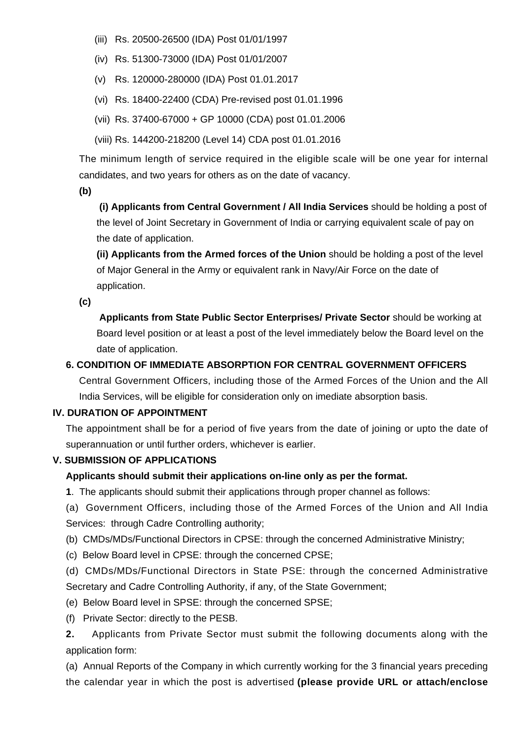- (iii) Rs. 20500-26500 (IDA) Post 01/01/1997
- (iv) Rs. 51300-73000 (IDA) Post 01/01/2007
- (v) Rs. 120000-280000 (IDA) Post 01.01.2017
- (vi) Rs. 18400-22400 (CDA) Pre-revised post 01.01.1996
- (vii) Rs. 37400-67000 + GP 10000 (CDA) post 01.01.2006
- (viii) Rs. 144200-218200 (Level 14) CDA post 01.01.2016

The minimum length of service required in the eligible scale will be one year for internal candidates, and two years for others as on the date of vacancy.

**(b)**

**(i) Applicants from Central Government / All India Services** should be holding a post of the level of Joint Secretary in Government of India or carrying equivalent scale of pay on the date of application.

**(ii) Applicants from the Armed forces of the Union** should be holding a post of the level of Major General in the Army or equivalent rank in Navy/Air Force on the date of application.

**(c)**

 **Applicants from State Public Sector Enterprises/ Private Sector** should be working at Board level position or at least a post of the level immediately below the Board level on the date of application.

### **6. CONDITION OF IMMEDIATE ABSORPTION FOR CENTRAL GOVERNMENT OFFICERS**

Central Government Officers, including those of the Armed Forces of the Union and the All India Services, will be eligible for consideration only on imediate absorption basis.

#### **IV. DURATION OF APPOINTMENT**

The appointment shall be for a period of five years from the date of joining or upto the date of superannuation or until further orders, whichever is earlier.

#### **V. SUBMISSION OF APPLICATIONS**

#### **Applicants should submit their applications on-line only as per the format.**

**1**. The applicants should submit their applications through proper channel as follows:

(a) Government Officers, including those of the Armed Forces of the Union and All India Services: through Cadre Controlling authority;

- (b) CMDs/MDs/Functional Directors in CPSE: through the concerned Administrative Ministry;
- (c) Below Board level in CPSE: through the concerned CPSE;

(d) CMDs/MDs/Functional Directors in State PSE: through the concerned Administrative Secretary and Cadre Controlling Authority, if any, of the State Government;

- (e) Below Board level in SPSE: through the concerned SPSE;
- (f) Private Sector: directly to the PESB.

**2.** Applicants from Private Sector must submit the following documents along with the application form:

(a) Annual Reports of the Company in which currently working for the 3 financial years preceding the calendar year in which the post is advertised **(please provide URL or attach/enclose**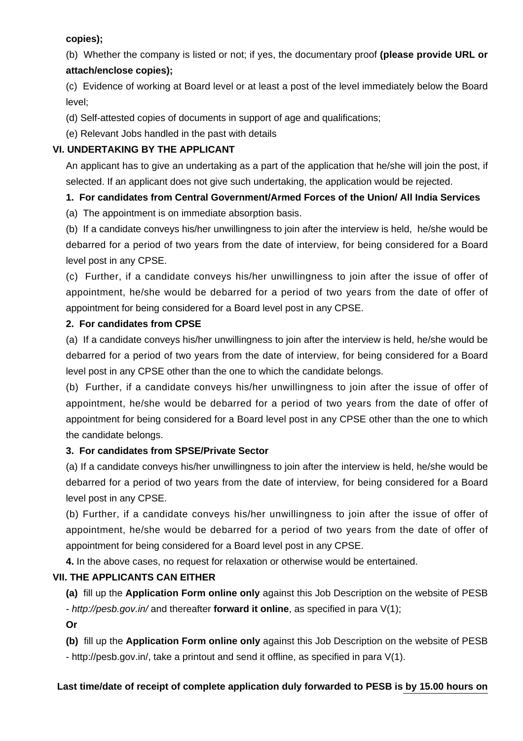## **copies);**

(b) Whether the company is listed or not; if yes, the documentary proof **(please provide URL or attach/enclose copies);**

(c) Evidence of working at Board level or at least a post of the level immediately below the Board level;

(d) Self-attested copies of documents in support of age and qualifications;

(e) Relevant Jobs handled in the past with details

# **VI. UNDERTAKING BY THE APPLICANT**

An applicant has to give an undertaking as a part of the application that he/she will join the post, if selected. If an applicant does not give such undertaking, the application would be rejected.

# **1. For candidates from Central Government/Armed Forces of the Union/ All India Services**

(a) The appointment is on immediate absorption basis.

(b) If a candidate conveys his/her unwillingness to join after the interview is held, he/she would be debarred for a period of two years from the date of interview, for being considered for a Board level post in any CPSE.

(c) Further, if a candidate conveys his/her unwillingness to join after the issue of offer of appointment, he/she would be debarred for a period of two years from the date of offer of appointment for being considered for a Board level post in any CPSE.

## **2. For candidates from CPSE**

(a) If a candidate conveys his/her unwillingness to join after the interview is held, he/she would be debarred for a period of two years from the date of interview, for being considered for a Board level post in any CPSE other than the one to which the candidate belongs.

(b) Further, if a candidate conveys his/her unwillingness to join after the issue of offer of appointment, he/she would be debarred for a period of two years from the date of offer of appointment for being considered for a Board level post in any CPSE other than the one to which the candidate belongs.

## **3. For candidates from SPSE/Private Sector**

(a) If a candidate conveys his/her unwillingness to join after the interview is held, he/she would be debarred for a period of two years from the date of interview, for being considered for a Board level post in any CPSE.

(b) Further, if a candidate conveys his/her unwillingness to join after the issue of offer of appointment, he/she would be debarred for a period of two years from the date of offer of appointment for being considered for a Board level post in any CPSE.

**4.** In the above cases, no request for relaxation or otherwise would be entertained.

## **VII. THE APPLICANTS CAN EITHER**

**(a)** fill up the **Application Form online only** against this Job Description on the website of PESB - http://pesb.gov.in/ and thereafter **forward it online**, as specified in para V(1);

**Or**

**(b)** fill up the **Application Form online only** against this Job Description on the website of PESB - http://pesb.gov.in/, take a printout and send it offline, as specified in para V(1).

## **Last time/date of receipt of complete application duly forwarded to PESB is by 15.00 hours on**